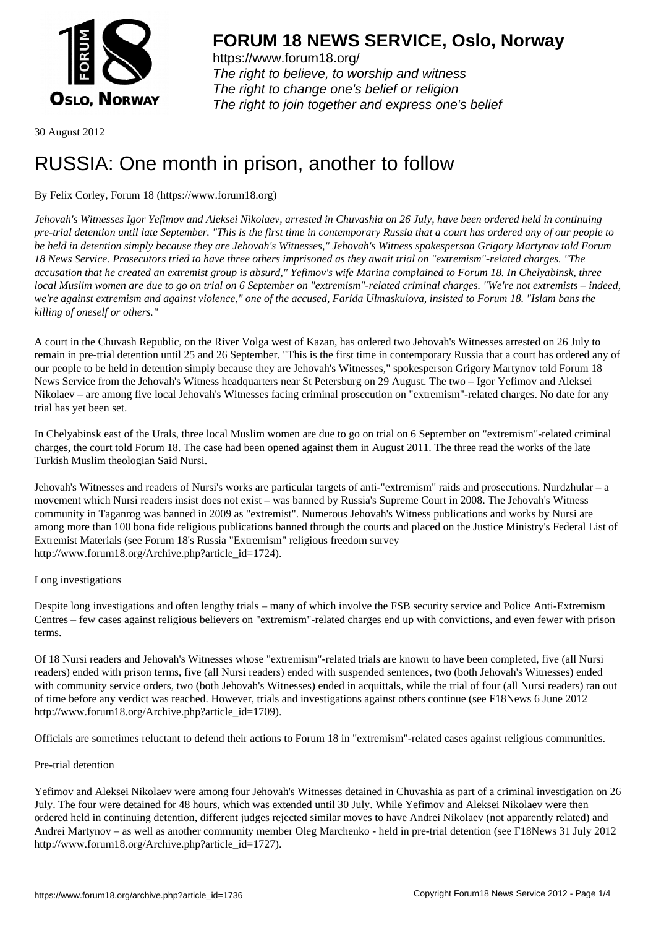

https://www.forum18.org/ The right to believe, to worship and witness The right to change one's belief or religion [The right to join together a](https://www.forum18.org/)nd express one's belief

30 August 2012

# [RUSSIA: One m](https://www.forum18.org)onth in prison, another to follow

### By Felix Corley, Forum 18 (https://www.forum18.org)

*Jehovah's Witnesses Igor Yefimov and Aleksei Nikolaev, arrested in Chuvashia on 26 July, have been ordered held in continuing pre-trial detention until late September. "This is the first time in contemporary Russia that a court has ordered any of our people to be held in detention simply because they are Jehovah's Witnesses," Jehovah's Witness spokesperson Grigory Martynov told Forum 18 News Service. Prosecutors tried to have three others imprisoned as they await trial on "extremism"-related charges. "The accusation that he created an extremist group is absurd," Yefimov's wife Marina complained to Forum 18. In Chelyabinsk, three local Muslim women are due to go on trial on 6 September on "extremism"-related criminal charges. "We're not extremists – indeed, we're against extremism and against violence," one of the accused, Farida Ulmaskulova, insisted to Forum 18. "Islam bans the killing of oneself or others."*

A court in the Chuvash Republic, on the River Volga west of Kazan, has ordered two Jehovah's Witnesses arrested on 26 July to remain in pre-trial detention until 25 and 26 September. "This is the first time in contemporary Russia that a court has ordered any of our people to be held in detention simply because they are Jehovah's Witnesses," spokesperson Grigory Martynov told Forum 18 News Service from the Jehovah's Witness headquarters near St Petersburg on 29 August. The two – Igor Yefimov and Aleksei Nikolaev – are among five local Jehovah's Witnesses facing criminal prosecution on "extremism"-related charges. No date for any trial has yet been set.

In Chelyabinsk east of the Urals, three local Muslim women are due to go on trial on 6 September on "extremism"-related criminal charges, the court told Forum 18. The case had been opened against them in August 2011. The three read the works of the late Turkish Muslim theologian Said Nursi.

Jehovah's Witnesses and readers of Nursi's works are particular targets of anti-"extremism" raids and prosecutions. Nurdzhular – a movement which Nursi readers insist does not exist – was banned by Russia's Supreme Court in 2008. The Jehovah's Witness community in Taganrog was banned in 2009 as "extremist". Numerous Jehovah's Witness publications and works by Nursi are among more than 100 bona fide religious publications banned through the courts and placed on the Justice Ministry's Federal List of Extremist Materials (see Forum 18's Russia "Extremism" religious freedom survey http://www.forum18.org/Archive.php?article\_id=1724).

#### Long investigations

Despite long investigations and often lengthy trials – many of which involve the FSB security service and Police Anti-Extremism Centres – few cases against religious believers on "extremism"-related charges end up with convictions, and even fewer with prison terms.

Of 18 Nursi readers and Jehovah's Witnesses whose "extremism"-related trials are known to have been completed, five (all Nursi readers) ended with prison terms, five (all Nursi readers) ended with suspended sentences, two (both Jehovah's Witnesses) ended with community service orders, two (both Jehovah's Witnesses) ended in acquittals, while the trial of four (all Nursi readers) ran out of time before any verdict was reached. However, trials and investigations against others continue (see F18News 6 June 2012 http://www.forum18.org/Archive.php?article\_id=1709).

Officials are sometimes reluctant to defend their actions to Forum 18 in "extremism"-related cases against religious communities.

#### Pre-trial detention

Yefimov and Aleksei Nikolaev were among four Jehovah's Witnesses detained in Chuvashia as part of a criminal investigation on 26 July. The four were detained for 48 hours, which was extended until 30 July. While Yefimov and Aleksei Nikolaev were then ordered held in continuing detention, different judges rejected similar moves to have Andrei Nikolaev (not apparently related) and Andrei Martynov – as well as another community member Oleg Marchenko - held in pre-trial detention (see F18News 31 July 2012 http://www.forum18.org/Archive.php?article\_id=1727).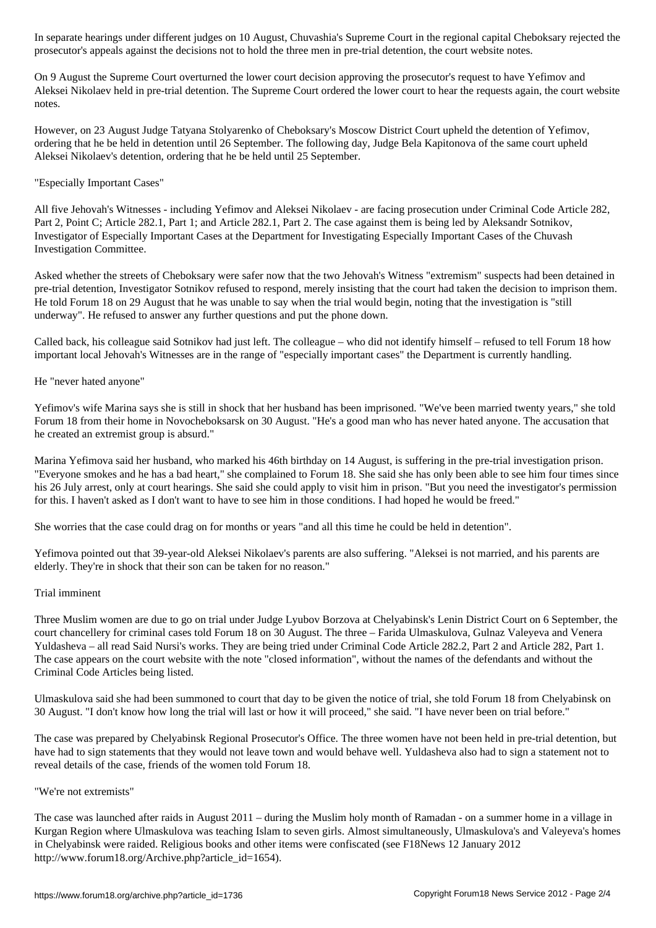prosecutor's appeals against the decisions not to hold the three men in pre-trial detention, the court website notes.

On 9 August the Supreme Court overturned the lower court decision approving the prosecutor's request to have Yefimov and Aleksei Nikolaev held in pre-trial detention. The Supreme Court ordered the lower court to hear the requests again, the court website notes.

However, on 23 August Judge Tatyana Stolyarenko of Cheboksary's Moscow District Court upheld the detention of Yefimov, ordering that he be held in detention until 26 September. The following day, Judge Bela Kapitonova of the same court upheld Aleksei Nikolaev's detention, ordering that he be held until 25 September.

## "Especially Important Cases"

All five Jehovah's Witnesses - including Yefimov and Aleksei Nikolaev - are facing prosecution under Criminal Code Article 282, Part 2, Point C; Article 282.1, Part 1; and Article 282.1, Part 2. The case against them is being led by Aleksandr Sotnikov, Investigator of Especially Important Cases at the Department for Investigating Especially Important Cases of the Chuvash Investigation Committee.

Asked whether the streets of Cheboksary were safer now that the two Jehovah's Witness "extremism" suspects had been detained in pre-trial detention, Investigator Sotnikov refused to respond, merely insisting that the court had taken the decision to imprison them. He told Forum 18 on 29 August that he was unable to say when the trial would begin, noting that the investigation is "still underway". He refused to answer any further questions and put the phone down.

Called back, his colleague said Sotnikov had just left. The colleague – who did not identify himself – refused to tell Forum 18 how important local Jehovah's Witnesses are in the range of "especially important cases" the Department is currently handling.

## He "never hated anyone"

Yefimov's wife Marina says she is still in shock that her husband has been imprisoned. "We've been married twenty years," she told Forum 18 from their home in Novocheboksarsk on 30 August. "He's a good man who has never hated anyone. The accusation that he created an extremist group is absurd."

Marina Yefimova said her husband, who marked his 46th birthday on 14 August, is suffering in the pre-trial investigation prison. "Everyone smokes and he has a bad heart," she complained to Forum 18. She said she has only been able to see him four times since his 26 July arrest, only at court hearings. She said she could apply to visit him in prison. "But you need the investigator's permission for this. I haven't asked as I don't want to have to see him in those conditions. I had hoped he would be freed."

She worries that the case could drag on for months or years "and all this time he could be held in detention".

Yefimova pointed out that 39-year-old Aleksei Nikolaev's parents are also suffering. "Aleksei is not married, and his parents are elderly. They're in shock that their son can be taken for no reason."

## Trial imminent

Three Muslim women are due to go on trial under Judge Lyubov Borzova at Chelyabinsk's Lenin District Court on 6 September, the court chancellery for criminal cases told Forum 18 on 30 August. The three – Farida Ulmaskulova, Gulnaz Valeyeva and Venera Yuldasheva – all read Said Nursi's works. They are being tried under Criminal Code Article 282.2, Part 2 and Article 282, Part 1. The case appears on the court website with the note "closed information", without the names of the defendants and without the Criminal Code Articles being listed.

Ulmaskulova said she had been summoned to court that day to be given the notice of trial, she told Forum 18 from Chelyabinsk on 30 August. "I don't know how long the trial will last or how it will proceed," she said. "I have never been on trial before."

The case was prepared by Chelyabinsk Regional Prosecutor's Office. The three women have not been held in pre-trial detention, but have had to sign statements that they would not leave town and would behave well. Yuldasheva also had to sign a statement not to reveal details of the case, friends of the women told Forum 18.

## "We're not extremists"

The case was launched after raids in August 2011 – during the Muslim holy month of Ramadan - on a summer home in a village in Kurgan Region where Ulmaskulova was teaching Islam to seven girls. Almost simultaneously, Ulmaskulova's and Valeyeva's homes in Chelyabinsk were raided. Religious books and other items were confiscated (see F18News 12 January 2012 http://www.forum18.org/Archive.php?article\_id=1654).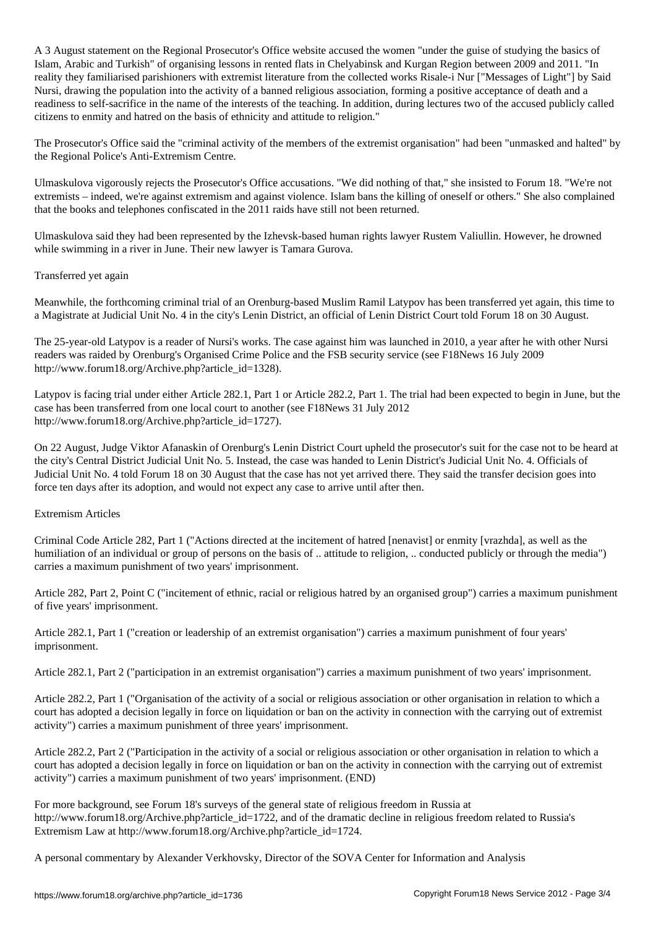A 3 August statement on the Regional Prosecutor's Office website accused the women "under the guise of studying the basics of Islam, Arabic and Turkish" of organising lessons in rented flats in Chelyabinsk and Kurgan Region between 2009 and 2011. "In reality they familiarised parishioners with extremist literature from the collected works Risale-i Nur ["Messages of Light"] by Said Nursi, drawing the population into the activity of a banned religious association, forming a positive acceptance of death and a readiness to self-sacrifice in the name of the interests of the teaching. In addition, during lectures two of the accused publicly called citizens to enmity and hatred on the basis of ethnicity and attitude to religion."

The Prosecutor's Office said the "criminal activity of the members of the extremist organisation" had been "unmasked and halted" by the Regional Police's Anti-Extremism Centre.

Ulmaskulova vigorously rejects the Prosecutor's Office accusations. "We did nothing of that," she insisted to Forum 18. "We're not extremists – indeed, we're against extremism and against violence. Islam bans the killing of oneself or others." She also complained that the books and telephones confiscated in the 2011 raids have still not been returned.

Ulmaskulova said they had been represented by the Izhevsk-based human rights lawyer Rustem Valiullin. However, he drowned while swimming in a river in June. Their new lawyer is Tamara Gurova.

#### Transferred yet again

Meanwhile, the forthcoming criminal trial of an Orenburg-based Muslim Ramil Latypov has been transferred yet again, this time to a Magistrate at Judicial Unit No. 4 in the city's Lenin District, an official of Lenin District Court told Forum 18 on 30 August.

The 25-year-old Latypov is a reader of Nursi's works. The case against him was launched in 2010, a year after he with other Nursi readers was raided by Orenburg's Organised Crime Police and the FSB security service (see F18News 16 July 2009 http://www.forum18.org/Archive.php?article\_id=1328).

Latypov is facing trial under either Article 282.1, Part 1 or Article 282.2, Part 1. The trial had been expected to begin in June, but the case has been transferred from one local court to another (see F18News 31 July 2012 http://www.forum18.org/Archive.php?article\_id=1727).

On 22 August, Judge Viktor Afanaskin of Orenburg's Lenin District Court upheld the prosecutor's suit for the case not to be heard at the city's Central District Judicial Unit No. 5. Instead, the case was handed to Lenin District's Judicial Unit No. 4. Officials of Judicial Unit No. 4 told Forum 18 on 30 August that the case has not yet arrived there. They said the transfer decision goes into force ten days after its adoption, and would not expect any case to arrive until after then.

#### Extremism Articles

Criminal Code Article 282, Part 1 ("Actions directed at the incitement of hatred [nenavist] or enmity [vrazhda], as well as the humiliation of an individual or group of persons on the basis of .. attitude to religion, .. conducted publicly or through the media") carries a maximum punishment of two years' imprisonment.

Article 282, Part 2, Point C ("incitement of ethnic, racial or religious hatred by an organised group") carries a maximum punishment of five years' imprisonment.

Article 282.1, Part 1 ("creation or leadership of an extremist organisation") carries a maximum punishment of four years' imprisonment.

Article 282.1, Part 2 ("participation in an extremist organisation") carries a maximum punishment of two years' imprisonment.

Article 282.2, Part 1 ("Organisation of the activity of a social or religious association or other organisation in relation to which a court has adopted a decision legally in force on liquidation or ban on the activity in connection with the carrying out of extremist activity") carries a maximum punishment of three years' imprisonment.

Article 282.2, Part 2 ("Participation in the activity of a social or religious association or other organisation in relation to which a court has adopted a decision legally in force on liquidation or ban on the activity in connection with the carrying out of extremist activity") carries a maximum punishment of two years' imprisonment. (END)

For more background, see Forum 18's surveys of the general state of religious freedom in Russia at http://www.forum18.org/Archive.php?article\_id=1722, and of the dramatic decline in religious freedom related to Russia's Extremism Law at http://www.forum18.org/Archive.php?article\_id=1724.

A personal commentary by Alexander Verkhovsky, Director of the SOVA Center for Information and Analysis